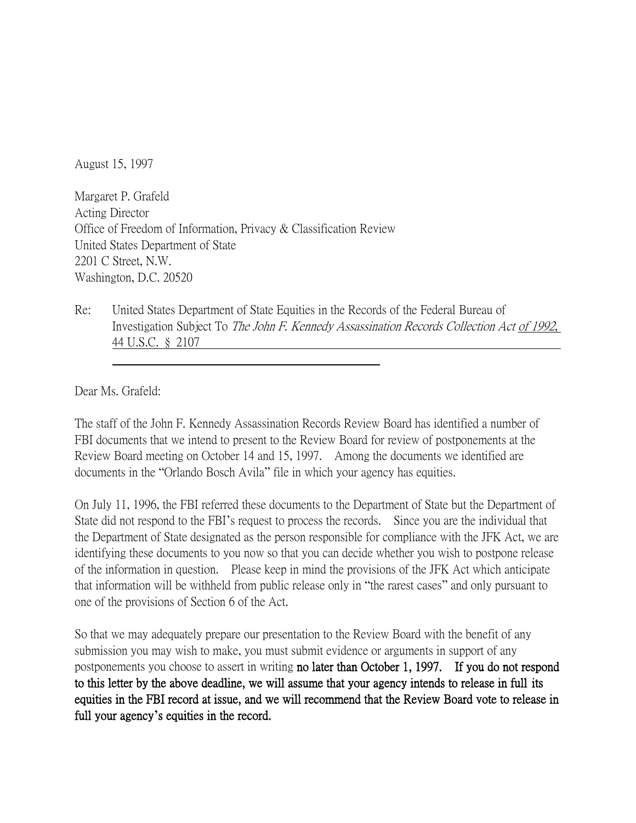August 15, 1997

Margaret P. Grafeld Acting Director Office of Freedom of Information, Privacy & Classification Review United States Department of State 2201 C Street, N.W. Washington, D.C. 20520

Re: United States Department of State Equities in the Records of the Federal Bureau of Investigation Subject To The John F. Kennedy Assassination Records Collection Act of 1992, 44 U.S.C. § 2107

Dear Ms. Grafeld:

The staff of the John F. Kennedy Assassination Records Review Board has identified a number of FBI documents that we intend to present to the Review Board for review of postponements at the Review Board meeting on October 14 and 15, 1997. Among the documents we identified are documents in the "Orlando Bosch Avila" file in which your agency has equities.

On July 11, 1996, the FBI referred these documents to the Department of State but the Department of State did not respond to the FBI's request to process the records. Since you are the individual that the Department of State designated as the person responsible for compliance with the JFK Act, we are identifying these documents to you now so that you can decide whether you wish to postpone release of the information in question. Please keep in mind the provisions of the JFK Act which anticipate that information will be withheld from public release only in "the rarest cases" and only pursuant to one of the provisions of Section 6 of the Act.

So that we may adequately prepare our presentation to the Review Board with the benefit of any submission you may wish to make, you must submit evidence or arguments in support of any postponements you choose to assert in writing no later than October 1, 1997. If you do not respond to this letter by the above deadline, we will assume that your agency intends to release in full its equities in the FBI record at issue, and we will recommend that the Review Board vote to release in full your agency**'**s equities in the record.